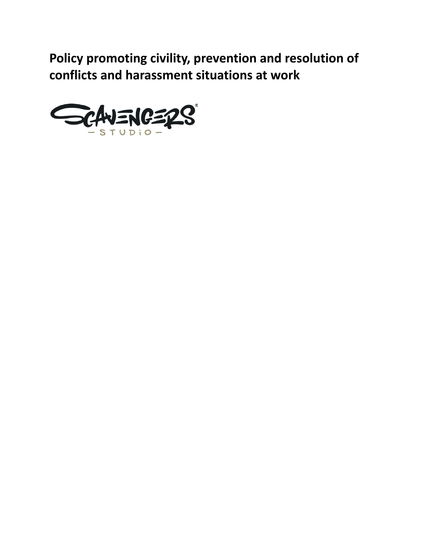**Policy promoting civility, prevention and resolution of conflicts and harassment situations at work**

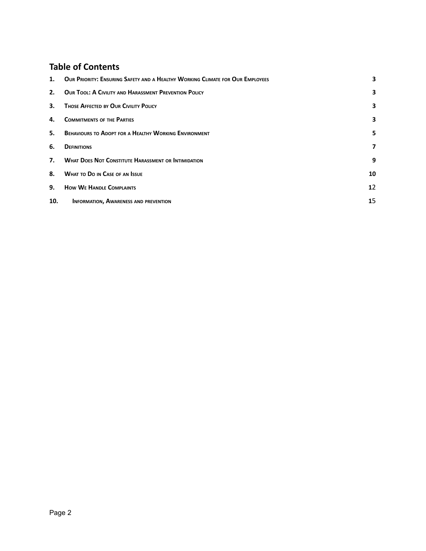### **Table of Contents**

<span id="page-1-0"></span>

| 1.  | OUR PRIORITY: ENSURING SAFETY AND A HEALTHY WORKING CLIMATE FOR OUR EMPLOYEES | 3                 |
|-----|-------------------------------------------------------------------------------|-------------------|
| 2.  | <b>OUR TOOL: A CIVILITY AND HARASSMENT PREVENTION POLICY</b>                  | 3                 |
| 3.  | <b>THOSE AFFECTED BY OUR CIVILITY POLICY</b>                                  | 3                 |
| 4.  | <b>COMMITMENTS OF THE PARTIES</b>                                             | 3                 |
| 5.  | <b>BEHAVIOURS TO ADOPT FOR A HEALTHY WORKING ENVIRONMENT</b>                  | 5                 |
| 6.  | <b>DEFINITIONS</b>                                                            | 7                 |
| 7.  | <b>WHAT DOES NOT CONSTITUTE HARASSMENT OR INTIMIDATION</b>                    | 9                 |
| 8.  | <b>WHAT TO DO IN CASE OF AN ISSUE</b>                                         | 10                |
| 9.  | <b>HOW WE HANDLE COMPLAINTS</b>                                               | $12 \overline{ }$ |
| 10. | <b>INFORMATION, AWARENESS AND PREVENTION</b>                                  | 15                |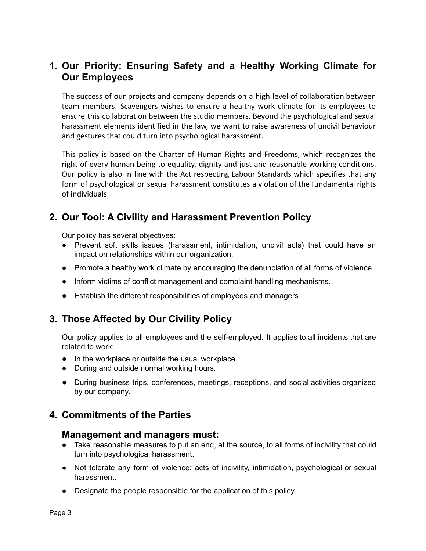# **1. Our Priority: Ensuring Safety and a Healthy Working Climate for Our Employees**

The success of our projects and company depends on a high level of collaboration between team members. Scavengers wishes to ensure a healthy work climate for its employees to ensure this collaboration between the studio members. Beyond the psychological and sexual harassment elements identified in the law, we want to raise awareness of uncivil behaviour and gestures that could turn into psychological harassment.

This policy is based on the Charter of Human Rights and Freedoms, which recognizes the right of every human being to equality, dignity and just and reasonable working conditions. Our policy is also in line with the Act respecting Labour Standards which specifies that any form of psychological or sexual harassment constitutes a violation of the fundamental rights of individuals.

# <span id="page-2-0"></span>**2. Our Tool: A Civility and Harassment Prevention Policy**

Our policy has several objectives:

- Prevent soft skills issues (harassment, intimidation, uncivil acts) that could have an impact on relationships within our organization.
- Promote a healthy work climate by encouraging the denunciation of all forms of violence.
- Inform victims of conflict management and complaint handling mechanisms.
- Establish the different responsibilities of employees and managers.

# <span id="page-2-1"></span>**3. Those Affected by Our Civility Policy**

Our policy applies to all employees and the self-employed. It applies to all incidents that are related to work:

- In the workplace or outside the usual workplace.
- During and outside normal working hours.
- During business trips, conferences, meetings, receptions, and social activities organized by our company.

#### <span id="page-2-2"></span>**4. Commitments of the Parties**

#### **Management and managers must:**

- Take reasonable measures to put an end, at the source, to all forms of incivility that could turn into psychological harassment.
- Not tolerate any form of violence: acts of incivility, intimidation, psychological or sexual harassment.
- Designate the people responsible for the application of this policy.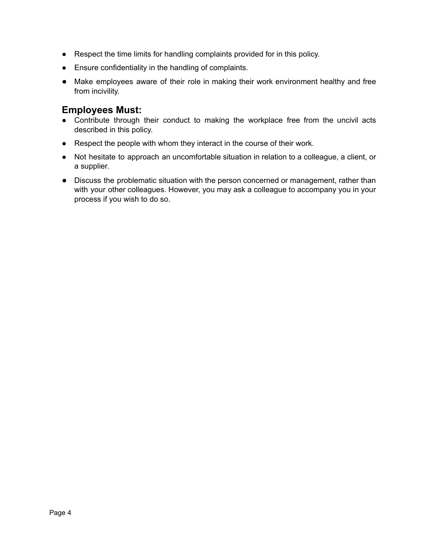- Respect the time limits for handling complaints provided for in this policy.
- Ensure confidentiality in the handling of complaints.
- Make employees aware of their role in making their work environment healthy and free from incivility.

#### **Employees Must:**

- Contribute through their conduct to making the workplace free from the uncivil acts described in this policy.
- Respect the people with whom they interact in the course of their work.
- Not hesitate to approach an uncomfortable situation in relation to a colleague, a client, or a supplier.
- Discuss the problematic situation with the person concerned or management, rather than with your other colleagues. However, you may ask a colleague to accompany you in your process if you wish to do so.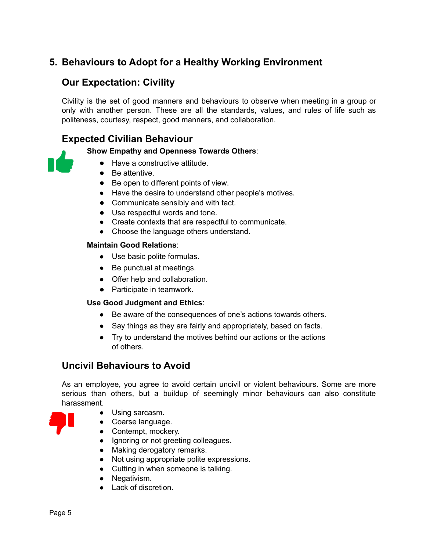# <span id="page-4-0"></span>**5. Behaviours to Adopt for a Healthy Working Environment**

# **Our Expectation: Civility**

Civility is the set of good manners and behaviours to observe when meeting in a group or only with another person. These are all the standards, values, and rules of life such as politeness, courtesy, respect, good manners, and collaboration.

## **Expected Civilian Behaviour**

#### **Show Empathy and Openness Towards Others**:

- Have a constructive attitude.
- Be attentive.
- Be open to different points of view.
- Have the desire to understand other people's motives.
- Communicate sensibly and with tact.
- Use respectful words and tone.
- Create contexts that are respectful to communicate.
- Choose the language others understand.

#### **Maintain Good Relations**:

- Use basic polite formulas.
- Be punctual at meetings.
- Offer help and collaboration.
- Participate in teamwork.

#### **Use Good Judgment and Ethics**:

- Be aware of the consequences of one's actions towards others.
- Say things as they are fairly and appropriately, based on facts.
- Try to understand the motives behind our actions or the actions of others.

#### **Uncivil Behaviours to Avoid**

As an employee, you agree to avoid certain uncivil or violent behaviours. Some are more serious than others, but a buildup of seemingly minor behaviours can also constitute harassment.

- Using sarcasm.
- Coarse language.
- Contempt, mockery.
- Ignoring or not greeting colleagues.
- Making derogatory remarks.
- Not using appropriate polite expressions.
- Cutting in when someone is talking.
- Negativism.
- Lack of discretion.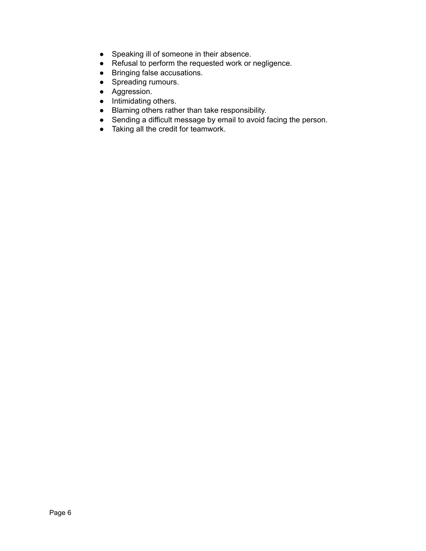- Speaking ill of someone in their absence.
- Refusal to perform the requested work or negligence.
- Bringing false accusations.
- Spreading rumours.
- Aggression.
- Intimidating others.
- Blaming others rather than take responsibility.
- Sending a difficult message by email to avoid facing the person.
- Taking all the credit for teamwork.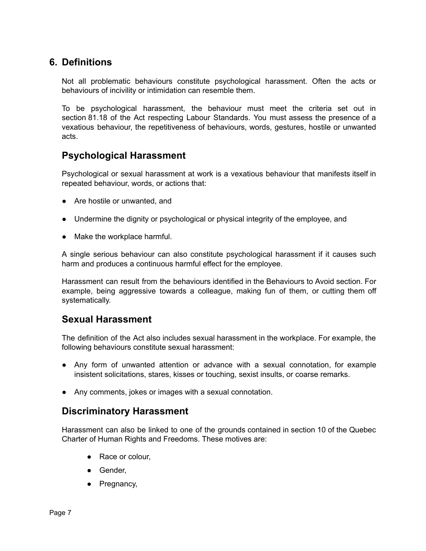# <span id="page-6-0"></span>**6. Definitions**

Not all problematic behaviours constitute psychological harassment. Often the acts or behaviours of incivility or intimidation can resemble them.

To be psychological harassment, the behaviour must meet the criteria set out in section 81.18 of the Act respecting Labour Standards. You must assess the presence of a vexatious behaviour, the repetitiveness of behaviours, words, gestures, hostile or unwanted acts.

## **Psychological Harassment**

Psychological or sexual harassment at work is a vexatious behaviour that manifests itself in repeated behaviour, words, or actions that:

- Are hostile or unwanted, and
- Undermine the dignity or psychological or physical integrity of the employee, and
- Make the workplace harmful.

A single serious behaviour can also constitute psychological harassment if it causes such harm and produces a continuous harmful effect for the employee.

Harassment can result from the behaviours identified in the Behaviours to Avoid section. For example, being aggressive towards a colleague, making fun of them, or cutting them off systematically.

#### **Sexual Harassment**

The definition of the Act also includes sexual harassment in the workplace. For example, the following behaviours constitute sexual harassment:

- Any form of unwanted attention or advance with a sexual connotation, for example insistent solicitations, stares, kisses or touching, sexist insults, or coarse remarks.
- Any comments, jokes or images with a sexual connotation.

#### **Discriminatory Harassment**

Harassment can also be linked to one of the grounds contained in section 10 of the Quebec Charter of Human Rights and Freedoms. These motives are:

- Race or colour,
- Gender,
- Pregnancy,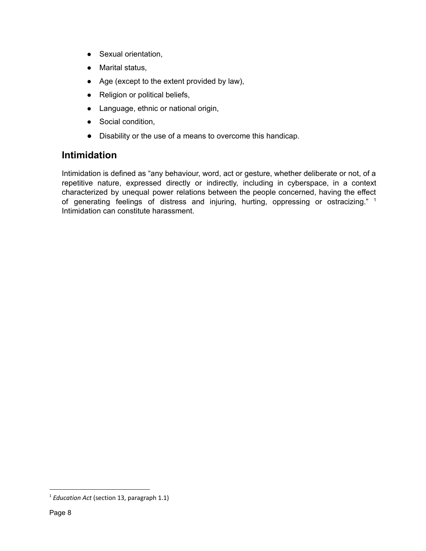- Sexual orientation,
- Marital status,
- Age (except to the extent provided by law),
- Religion or political beliefs,
- Language, ethnic or national origin,
- Social condition,
- Disability or the use of a means to overcome this handicap.

# **Intimidation**

Intimidation is defined as "any behaviour, word, act or gesture, whether deliberate or not, of a repetitive nature, expressed directly or indirectly, including in cyberspace, in a context characterized by unequal power relations between the people concerned, having the effect of generating feelings of distress and injuring, hurting, oppressing or ostracizing."  $1$ Intimidation can constitute harassment.

<sup>1</sup> *Education Act* (section 13, paragraph 1.1)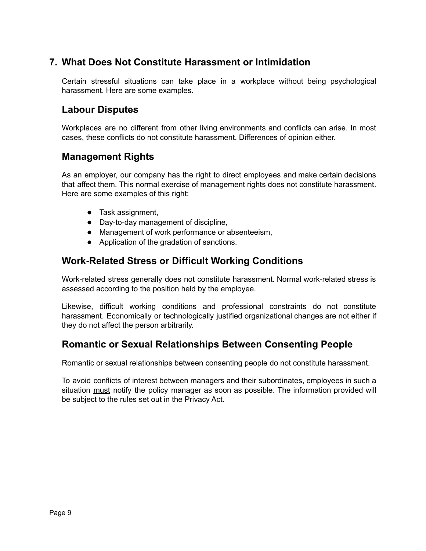# <span id="page-8-0"></span>**7. What Does Not Constitute Harassment or Intimidation**

Certain stressful situations can take place in a workplace without being psychological harassment. Here are some examples.

# **Labour Disputes**

Workplaces are no different from other living environments and conflicts can arise. In most cases, these conflicts do not constitute harassment. Differences of opinion either.

## **Management Rights**

As an employer, our company has the right to direct employees and make certain decisions that affect them. This normal exercise of management rights does not constitute harassment. Here are some examples of this right:

- Task assignment,
- Day-to-day management of discipline,
- Management of work performance or absenteeism,
- Application of the gradation of sanctions.

## **Work-Related Stress or Difficult Working Conditions**

Work-related stress generally does not constitute harassment. Normal work-related stress is assessed according to the position held by the employee.

Likewise, difficult working conditions and professional constraints do not constitute harassment. Economically or technologically justified organizational changes are not either if they do not affect the person arbitrarily.

# **Romantic or Sexual Relationships Between Consenting People**

Romantic or sexual relationships between consenting people do not constitute harassment.

To avoid conflicts of interest between managers and their subordinates, employees in such a situation must notify the policy manager as soon as possible. The information provided will be subject to the rules set out in the Privacy Act.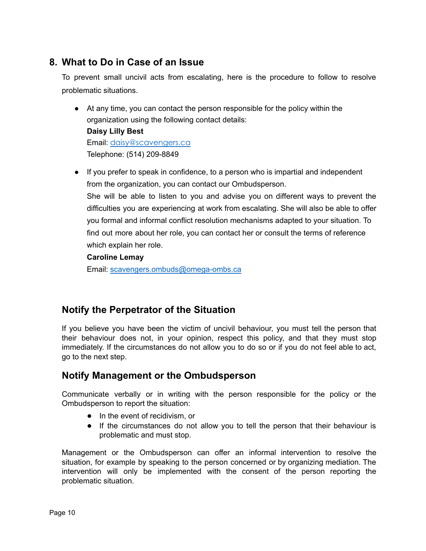# <span id="page-9-0"></span>**8. What to Do in Case of an Issue**

To prevent small uncivil acts from escalating, here is the procedure to follow to resolve problematic situations.

- At any time, you can contact the person responsible for the policy within the organization using the following contact details: **Daisy Lilly Best** Email: [daisy@scavengers.ca](mailto:daisy@scavengers.ca) Telephone: (514) 209-8849
- If you prefer to speak in confidence, to a person who is impartial and independent from the organization, you can contact our Ombudsperson. She will be able to listen to you and advise you on different ways to prevent the difficulties you are experiencing at work from escalating. She will also be able to offer you formal and informal conflict resolution mechanisms adapted to your situation. To find out more about her role, you can contact her or consult the terms of reference which explain her role.

#### **Caroline Lemay**

Email: scavengers.ombuds@omega-ombs.ca

# **Notify the Perpetrator of the Situation**

If you believe you have been the victim of uncivil behaviour, you must tell the person that their behaviour does not, in your opinion, respect this policy, and that they must stop immediately. If the circumstances do not allow you to do so or if you do not feel able to act, go to the next step.

# **Notify Management or the Ombudsperson**

Communicate verbally or in writing with the person responsible for the policy or the Ombudsperson to report the situation:

- In the event of recidivism, or
- If the circumstances do not allow you to tell the person that their behaviour is problematic and must stop.

Management or the Ombudsperson can offer an informal intervention to resolve the situation, for example by speaking to the person concerned or by organizing mediation. The intervention will only be implemented with the consent of the person reporting the problematic situation.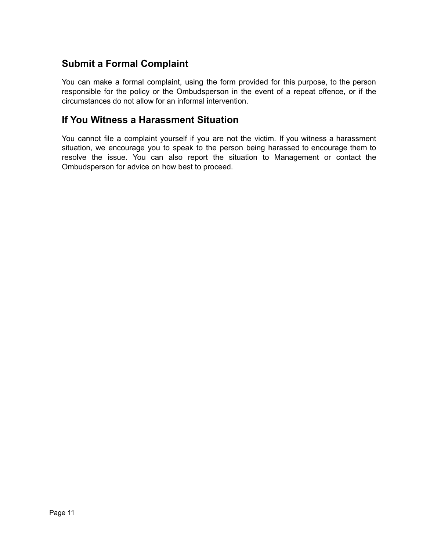# **Submit a Formal Complaint**

You can make a formal complaint, using the form provided for this purpose, to the person responsible for the policy or the Ombudsperson in the event of a repeat offence, or if the circumstances do not allow for an informal intervention.

#### **If You Witness a Harassment Situation**

<span id="page-10-0"></span>You cannot file a complaint yourself if you are not the victim. If you witness a harassment situation, we encourage you to speak to the person being harassed to encourage them to resolve the issue. You can also report the situation to Management or contact the Ombudsperson for advice on how best to proceed.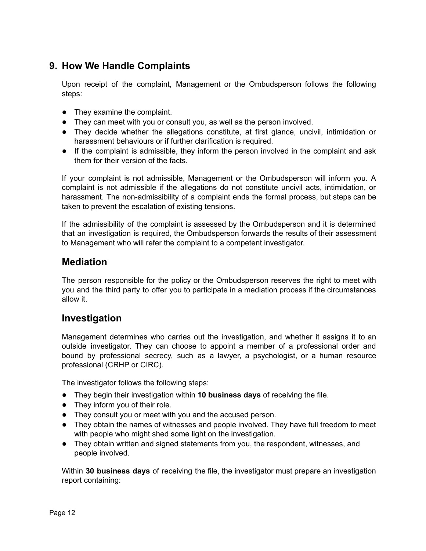# **9. How We Handle Complaints**

Upon receipt of the complaint, Management or the Ombudsperson follows the following steps:

- They examine the complaint.
- They can meet with you or consult you, as well as the person involved.
- They decide whether the allegations constitute, at first glance, uncivil, intimidation or harassment behaviours or if further clarification is required.
- If the complaint is admissible, they inform the person involved in the complaint and ask them for their version of the facts.

If your complaint is not admissible, Management or the Ombudsperson will inform you. A complaint is not admissible if the allegations do not constitute uncivil acts, intimidation, or harassment. The non-admissibility of a complaint ends the formal process, but steps can be taken to prevent the escalation of existing tensions.

If the admissibility of the complaint is assessed by the Ombudsperson and it is determined that an investigation is required, the Ombudsperson forwards the results of their assessment to Management who will refer the complaint to a competent investigator.

## **Mediation**

The person responsible for the policy or the Ombudsperson reserves the right to meet with you and the third party to offer you to participate in a mediation process if the circumstances allow it.

# **Investigation**

Management determines who carries out the investigation, and whether it assigns it to an outside investigator. They can choose to appoint a member of a professional order and bound by professional secrecy, such as a lawyer, a psychologist, or a human resource professional (CRHP or CIRC).

The investigator follows the following steps:

- They begin their investigation within **10 business days** of receiving the file.
- They inform you of their role.
- They consult you or meet with you and the accused person.
- They obtain the names of witnesses and people involved. They have full freedom to meet with people who might shed some light on the investigation.
- They obtain written and signed statements from you, the respondent, witnesses, and people involved.

Within **30 business days** of receiving the file, the investigator must prepare an investigation report containing: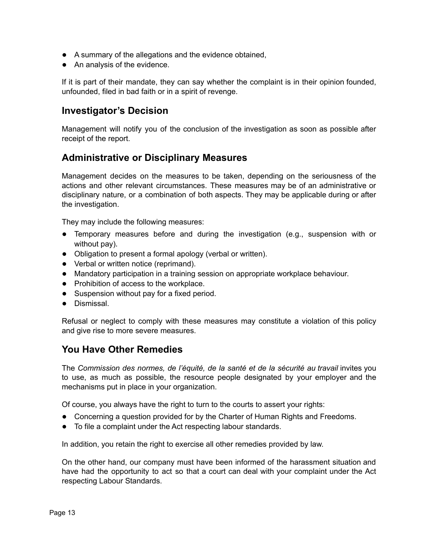- A summary of the allegations and the evidence obtained,
- An analysis of the evidence.

If it is part of their mandate, they can say whether the complaint is in their opinion founded, unfounded, filed in bad faith or in a spirit of revenge.

#### **Investigator's Decision**

Management will notify you of the conclusion of the investigation as soon as possible after receipt of the report.

## **Administrative or Disciplinary Measures**

Management decides on the measures to be taken, depending on the seriousness of the actions and other relevant circumstances. These measures may be of an administrative or disciplinary nature, or a combination of both aspects. They may be applicable during or after the investigation.

They may include the following measures:

- Temporary measures before and during the investigation (e.g., suspension with or without pay).
- Obligation to present a formal apology (verbal or written).
- Verbal or written notice (reprimand).
- Mandatory participation in a training session on appropriate workplace behaviour.
- Prohibition of access to the workplace.
- Suspension without pay for a fixed period.
- Dismissal.

Refusal or neglect to comply with these measures may constitute a violation of this policy and give rise to more severe measures.

#### **You Have Other Remedies**

The *Commission des normes, de l'équité, de la santé et de la sécurité au travail* invites you to use, as much as possible, the resource people designated by your employer and the mechanisms put in place in your organization.

Of course, you always have the right to turn to the courts to assert your rights:

- Concerning a question provided for by the Charter of Human Rights and Freedoms.
- To file a complaint under the Act respecting labour standards.

In addition, you retain the right to exercise all other remedies provided by law.

On the other hand, our company must have been informed of the harassment situation and have had the opportunity to act so that a court can deal with your complaint under the Act respecting Labour Standards.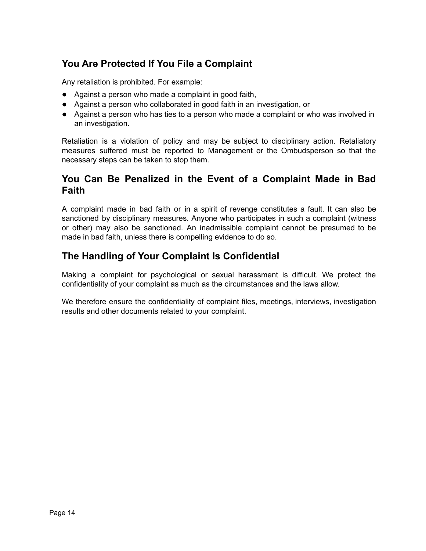# **You Are Protected If You File a Complaint**

Any retaliation is prohibited. For example:

- Against a person who made a complaint in good faith,
- Against a person who collaborated in good faith in an investigation, or
- Against a person who has ties to a person who made a complaint or who was involved in an investigation.

Retaliation is a violation of policy and may be subject to disciplinary action. Retaliatory measures suffered must be reported to Management or the Ombudsperson so that the necessary steps can be taken to stop them.

## **You Can Be Penalized in the Event of a Complaint Made in Bad Faith**

A complaint made in bad faith or in a spirit of revenge constitutes a fault. It can also be sanctioned by disciplinary measures. Anyone who participates in such a complaint (witness or other) may also be sanctioned. An inadmissible complaint cannot be presumed to be made in bad faith, unless there is compelling evidence to do so.

# **The Handling of Your Complaint Is Confidential**

Making a complaint for psychological or sexual harassment is difficult. We protect the confidentiality of your complaint as much as the circumstances and the laws allow.

We therefore ensure the confidentiality of complaint files, meetings, interviews, investigation results and other documents related to your complaint.